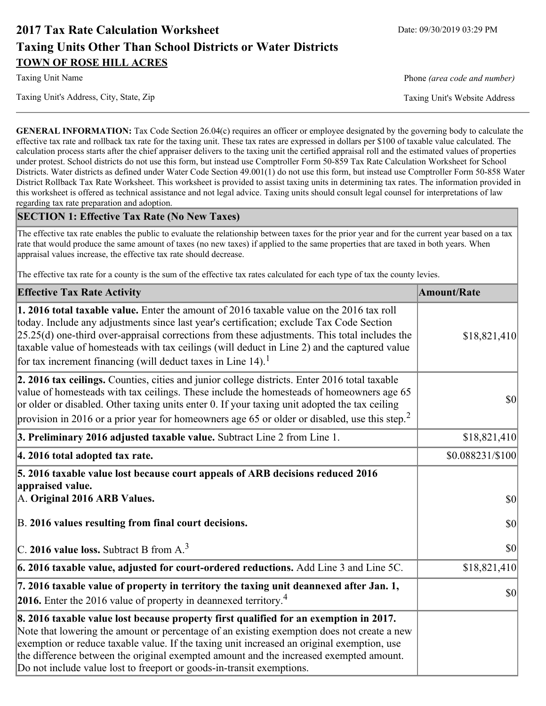# **2017 Tax Rate Calculation Worksheet** Date: 09/30/2019 03:29 PM **Taxing Units Other Than School Districts or Water Districts TOWN OF ROSE HILL ACRES**

Taxing Unit Name **Phone** *(area code and number)* Phone *(area code and number)* 

Taxing Unit's Address, City, State, Zip Taxing Unit's Website Address

**GENERAL INFORMATION:** Tax Code Section 26.04(c) requires an officer or employee designated by the governing body to calculate the effective tax rate and rollback tax rate for the taxing unit. These tax rates are expressed in dollars per \$100 of taxable value calculated. The calculation process starts after the chief appraiser delivers to the taxing unit the certified appraisal roll and the estimated values of properties under protest. School districts do not use this form, but instead use Comptroller Form 50-859 Tax Rate Calculation Worksheet for School Districts. Water districts as defined under Water Code Section 49.001(1) do not use this form, but instead use Comptroller Form 50-858 Water District Rollback Tax Rate Worksheet. This worksheet is provided to assist taxing units in determining tax rates. The information provided in this worksheet is offered as technical assistance and not legal advice. Taxing units should consult legal counsel for interpretations of law regarding tax rate preparation and adoption.

## **SECTION 1: Effective Tax Rate (No New Taxes)**

The effective tax rate enables the public to evaluate the relationship between taxes for the prior year and for the current year based on a tax rate that would produce the same amount of taxes (no new taxes) if applied to the same properties that are taxed in both years. When appraisal values increase, the effective tax rate should decrease.

The effective tax rate for a county is the sum of the effective tax rates calculated for each type of tax the county levies.

| <b>Effective Tax Rate Activity</b>                                                                                                                                                                                                                                                                                                                                                                                                                      | <b>Amount/Rate</b> |
|---------------------------------------------------------------------------------------------------------------------------------------------------------------------------------------------------------------------------------------------------------------------------------------------------------------------------------------------------------------------------------------------------------------------------------------------------------|--------------------|
| 1. 2016 total taxable value. Enter the amount of 2016 taxable value on the 2016 tax roll<br>today. Include any adjustments since last year's certification; exclude Tax Code Section<br>$[25.25(d)$ one-third over-appraisal corrections from these adjustments. This total includes the<br>taxable value of homesteads with tax ceilings (will deduct in Line 2) and the captured value<br>for tax increment financing (will deduct taxes in Line 14). | \$18,821,410       |
| 2. 2016 tax ceilings. Counties, cities and junior college districts. Enter 2016 total taxable<br>value of homesteads with tax ceilings. These include the homesteads of homeowners age 65<br>or older or disabled. Other taxing units enter 0. If your taxing unit adopted the tax ceiling<br>provision in 2016 or a prior year for homeowners age 65 or older or disabled, use this step. <sup>2</sup>                                                 | 30                 |
| 3. Preliminary 2016 adjusted taxable value. Subtract Line 2 from Line 1.                                                                                                                                                                                                                                                                                                                                                                                | \$18,821,410       |
| 4. 2016 total adopted tax rate.                                                                                                                                                                                                                                                                                                                                                                                                                         | \$0.088231/\$100   |
| 5. 2016 taxable value lost because court appeals of ARB decisions reduced 2016<br>appraised value.<br>A. Original 2016 ARB Values.                                                                                                                                                                                                                                                                                                                      | $ 10\rangle$       |
| B. 2016 values resulting from final court decisions.                                                                                                                                                                                                                                                                                                                                                                                                    | \$0                |
| C. 2016 value loss. Subtract B from $A3$                                                                                                                                                                                                                                                                                                                                                                                                                | $ 10\rangle$       |
| 6. 2016 taxable value, adjusted for court-ordered reductions. Add Line 3 and Line 5C.                                                                                                                                                                                                                                                                                                                                                                   | \$18,821,410       |
| 7. 2016 taxable value of property in territory the taxing unit deannexed after Jan. 1,<br><b>2016.</b> Enter the 2016 value of property in deannexed territory. <sup>4</sup>                                                                                                                                                                                                                                                                            | $ 10\rangle$       |
| 8. 2016 taxable value lost because property first qualified for an exemption in 2017.<br>Note that lowering the amount or percentage of an existing exemption does not create a new<br>exemption or reduce taxable value. If the taxing unit increased an original exemption, use<br>the difference between the original exempted amount and the increased exempted amount.<br>Do not include value lost to freeport or goods-in-transit exemptions.    |                    |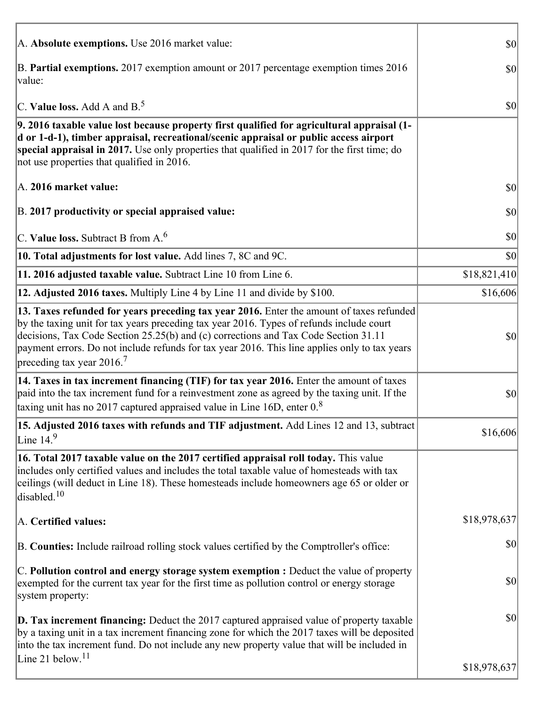| A. Absolute exemptions. Use 2016 market value:                                                                                                                                                                                                                                                                                                                                                                         | 30           |
|------------------------------------------------------------------------------------------------------------------------------------------------------------------------------------------------------------------------------------------------------------------------------------------------------------------------------------------------------------------------------------------------------------------------|--------------|
| B. Partial exemptions. 2017 exemption amount or 2017 percentage exemption times 2016<br>value:                                                                                                                                                                                                                                                                                                                         | 30           |
| C. Value loss. Add A and $B^5$ .                                                                                                                                                                                                                                                                                                                                                                                       | $ 10\rangle$ |
| 9. 2016 taxable value lost because property first qualified for agricultural appraisal (1-<br>d or 1-d-1), timber appraisal, recreational/scenic appraisal or public access airport<br>special appraisal in 2017. Use only properties that qualified in 2017 for the first time; do<br>not use properties that qualified in 2016.                                                                                      |              |
| A. 2016 market value:                                                                                                                                                                                                                                                                                                                                                                                                  | $ 10\rangle$ |
| B. 2017 productivity or special appraised value:                                                                                                                                                                                                                                                                                                                                                                       | \$0          |
| C. Value loss. Subtract B from $A6$                                                                                                                                                                                                                                                                                                                                                                                    | \$0          |
| 10. Total adjustments for lost value. Add lines 7, 8C and 9C.                                                                                                                                                                                                                                                                                                                                                          | \$0          |
| 11. 2016 adjusted taxable value. Subtract Line 10 from Line 6.                                                                                                                                                                                                                                                                                                                                                         | \$18,821,410 |
| 12. Adjusted 2016 taxes. Multiply Line 4 by Line 11 and divide by \$100.                                                                                                                                                                                                                                                                                                                                               | \$16,606     |
| 13. Taxes refunded for years preceding tax year 2016. Enter the amount of taxes refunded<br>by the taxing unit for tax years preceding tax year 2016. Types of refunds include court<br>decisions, Tax Code Section 25.25(b) and (c) corrections and Tax Code Section 31.11<br>payment errors. Do not include refunds for tax year 2016. This line applies only to tax years<br>preceding tax year $2016$ <sup>7</sup> | \$0          |
| 14. Taxes in tax increment financing (TIF) for tax year 2016. Enter the amount of taxes<br>paid into the tax increment fund for a reinvestment zone as agreed by the taxing unit. If the<br>taxing unit has no 2017 captured appraised value in Line 16D, enter $0.8$                                                                                                                                                  | \$0          |
| 15. Adjusted 2016 taxes with refunds and TIF adjustment. Add Lines 12 and 13, subtract<br>Line $149$                                                                                                                                                                                                                                                                                                                   | \$16,606     |
| 16. Total 2017 taxable value on the 2017 certified appraisal roll today. This value<br>includes only certified values and includes the total taxable value of homesteads with tax<br>ceilings (will deduct in Line 18). These homesteads include homeowners age 65 or older or<br>disabled. $10$                                                                                                                       |              |
| A. Certified values:                                                                                                                                                                                                                                                                                                                                                                                                   | \$18,978,637 |
| B. Counties: Include railroad rolling stock values certified by the Comptroller's office:                                                                                                                                                                                                                                                                                                                              | \$0          |
| $ C$ . Pollution control and energy storage system exemption : Deduct the value of property<br>exempted for the current tax year for the first time as pollution control or energy storage<br>system property:                                                                                                                                                                                                         | \$0          |
| <b>D. Tax increment financing:</b> Deduct the 2017 captured appraised value of property taxable<br>by a taxing unit in a tax increment financing zone for which the 2017 taxes will be deposited<br>into the tax increment fund. Do not include any new property value that will be included in                                                                                                                        | \$0          |
| Line 21 below. <sup>11</sup>                                                                                                                                                                                                                                                                                                                                                                                           | \$18,978,637 |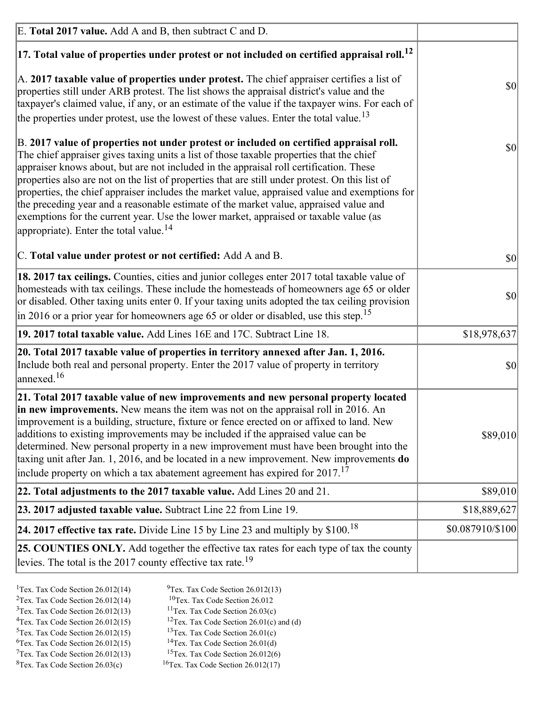| E. Total 2017 value. Add A and B, then subtract C and D.                                                                                                                                                                                                                                                                                                                                                                                                                                                                                                                                                                                                                                                                 |                  |
|--------------------------------------------------------------------------------------------------------------------------------------------------------------------------------------------------------------------------------------------------------------------------------------------------------------------------------------------------------------------------------------------------------------------------------------------------------------------------------------------------------------------------------------------------------------------------------------------------------------------------------------------------------------------------------------------------------------------------|------------------|
| $ 17$ . Total value of properties under protest or not included on certified appraisal roll. <sup>12</sup>                                                                                                                                                                                                                                                                                                                                                                                                                                                                                                                                                                                                               |                  |
| A. 2017 taxable value of properties under protest. The chief appraiser certifies a list of<br>properties still under ARB protest. The list shows the appraisal district's value and the<br>taxpayer's claimed value, if any, or an estimate of the value if the taxpayer wins. For each of<br>the properties under protest, use the lowest of these values. Enter the total value. <sup>13</sup>                                                                                                                                                                                                                                                                                                                         | \$0              |
| B. 2017 value of properties not under protest or included on certified appraisal roll.<br>The chief appraiser gives taxing units a list of those taxable properties that the chief<br>appraiser knows about, but are not included in the appraisal roll certification. These<br>properties also are not on the list of properties that are still under protest. On this list of<br>properties, the chief appraiser includes the market value, appraised value and exemptions for<br>the preceding year and a reasonable estimate of the market value, appraised value and<br>exemptions for the current year. Use the lower market, appraised or taxable value (as<br>appropriate). Enter the total value. <sup>14</sup> | <b>\$0</b>       |
| C. Total value under protest or not certified: Add A and B.                                                                                                                                                                                                                                                                                                                                                                                                                                                                                                                                                                                                                                                              | $ 10\rangle$     |
| 18. 2017 tax ceilings. Counties, cities and junior colleges enter 2017 total taxable value of<br>homesteads with tax ceilings. These include the homesteads of homeowners age 65 or older<br>or disabled. Other taxing units enter 0. If your taxing units adopted the tax ceiling provision<br>$\vert$ in 2016 or a prior year for homeowners age 65 or older or disabled, use this step. <sup>15</sup>                                                                                                                                                                                                                                                                                                                 | \$0              |
| 19. 2017 total taxable value. Add Lines 16E and 17C. Subtract Line 18.                                                                                                                                                                                                                                                                                                                                                                                                                                                                                                                                                                                                                                                   | \$18,978,637     |
| 20. Total 2017 taxable value of properties in territory annexed after Jan. 1, 2016.<br>Include both real and personal property. Enter the 2017 value of property in territory<br>$\text{lanned}$ . <sup>16</sup>                                                                                                                                                                                                                                                                                                                                                                                                                                                                                                         | $ 10\rangle$     |
| 21. Total 2017 taxable value of new improvements and new personal property located<br>in new improvements. New means the item was not on the appraisal roll in 2016. An<br>improvement is a building, structure, fixture or fence erected on or affixed to land. New<br>additions to existing improvements may be included if the appraised value can be<br>determined. New personal property in a new improvement must have been brought into the<br>taxing unit after Jan. 1, 2016, and be located in a new improvement. New improvements do<br>include property on which a tax abatement agreement has expired for $2017$ . <sup>17</sup>                                                                             | \$89,010         |
| 22. Total adjustments to the 2017 taxable value. Add Lines 20 and 21.                                                                                                                                                                                                                                                                                                                                                                                                                                                                                                                                                                                                                                                    | \$89,010         |
| 23. 2017 adjusted taxable value. Subtract Line 22 from Line 19.                                                                                                                                                                                                                                                                                                                                                                                                                                                                                                                                                                                                                                                          | \$18,889,627     |
| 24. 2017 effective tax rate. Divide Line 15 by Line 23 and multiply by $$100$ . <sup>18</sup>                                                                                                                                                                                                                                                                                                                                                                                                                                                                                                                                                                                                                            | \$0.087910/\$100 |
| <b>25. COUNTIES ONLY.</b> Add together the effective tax rates for each type of tax the county<br>levies. The total is the 2017 county effective tax rate. <sup>19</sup>                                                                                                                                                                                                                                                                                                                                                                                                                                                                                                                                                 |                  |

- <sup>2</sup>Tex. Tax Code Section 26.012(14)
- <sup>1</sup>Tex. Tax Code Section 26.012(14) <sup>9</sup>Tex. Tax Code Section 26.012(13) <sup>9</sup>Tex. Tax Code Section 26.012
	-
- <sup>3</sup>Tex. Tax Code Section 26.012(13) <sup>11</sup>Tex. Tax Code Section 26.03(c) <sup>4</sup>Tex. Tax Code Section 26.01(c) and <sup>12</sup>Tex. Tax Code Section 26.01(c) and <sup>12</sup>Tex. Tax Code Section 26.01(c) and <sup>12</sup>Tex. Tax Code Section 26.01(c)
	- <sup>12</sup>Tex. Tax Code Section 26.01(c) and (d)
- 
- <sup>5</sup>Tex. Tax Code Section 26.012(15) <sup>13</sup>Tex. Tax Code Section 26.01(c) <sup>6</sup>Tex. Tax Code Section 26.01(d) <sup>6</sup>Tex. Tax Code Section 26.012(15) <sup>14</sup>Tex. Tax Code Section 26.01(d)<sup>7</sup>Tex. Tax Code Section 26.012(6)
- $7$ Tex. Tax Code Section 26.012(13)
- 
- 
- ${}^{8}$ Tex. Tax Code Section 26.03(c)  ${}^{16}$ Tex. Tax Code Section 26.012(17)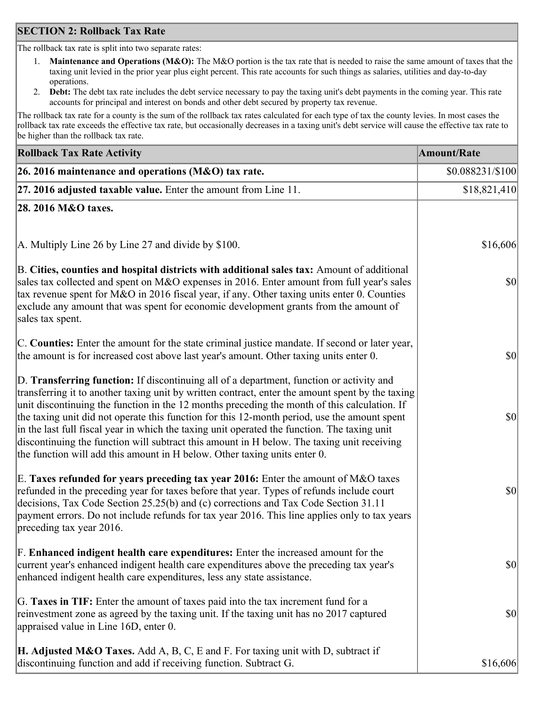## **SECTION 2: Rollback Tax Rate**

The rollback tax rate is split into two separate rates:

- 1. **Maintenance and Operations (M&O):** The M&O portion is the tax rate that is needed to raise the same amount of taxes that the taxing unit levied in the prior year plus eight percent. This rate accounts for such things as salaries, utilities and day-to-day operations.
- 2. **Debt:** The debt tax rate includes the debt service necessary to pay the taxing unit's debt payments in the coming year. This rate accounts for principal and interest on bonds and other debt secured by property tax revenue.

The rollback tax rate for a county is the sum of the rollback tax rates calculated for each type of tax the county levies. In most cases the rollback tax rate exceeds the effective tax rate, but occasionally decreases in a taxing unit's debt service will cause the effective tax rate to be higher than the rollback tax rate.

| <b>Rollback Tax Rate Activity</b>                                                                                                                                                                                                                                                                                                                                                                                                                                                                                                                                                                                                                                       | <b>Amount/Rate</b> |
|-------------------------------------------------------------------------------------------------------------------------------------------------------------------------------------------------------------------------------------------------------------------------------------------------------------------------------------------------------------------------------------------------------------------------------------------------------------------------------------------------------------------------------------------------------------------------------------------------------------------------------------------------------------------------|--------------------|
| 26. 2016 maintenance and operations (M&O) tax rate.                                                                                                                                                                                                                                                                                                                                                                                                                                                                                                                                                                                                                     | \$0.088231/\$100   |
| $ 27.2016$ adjusted taxable value. Enter the amount from Line 11.                                                                                                                                                                                                                                                                                                                                                                                                                                                                                                                                                                                                       | \$18,821,410       |
| 28. 2016 M&O taxes.                                                                                                                                                                                                                                                                                                                                                                                                                                                                                                                                                                                                                                                     |                    |
|                                                                                                                                                                                                                                                                                                                                                                                                                                                                                                                                                                                                                                                                         |                    |
| A. Multiply Line 26 by Line 27 and divide by \$100.                                                                                                                                                                                                                                                                                                                                                                                                                                                                                                                                                                                                                     | \$16,606           |
| B. Cities, counties and hospital districts with additional sales tax: Amount of additional<br>sales tax collected and spent on M&O expenses in 2016. Enter amount from full year's sales<br>tax revenue spent for M&O in 2016 fiscal year, if any. Other taxing units enter 0. Counties<br>exclude any amount that was spent for economic development grants from the amount of<br>sales tax spent.                                                                                                                                                                                                                                                                     | $ 10\rangle$       |
| C. Counties: Enter the amount for the state criminal justice mandate. If second or later year,<br>the amount is for increased cost above last year's amount. Other taxing units enter 0.                                                                                                                                                                                                                                                                                                                                                                                                                                                                                | \$0                |
| D. Transferring function: If discontinuing all of a department, function or activity and<br>transferring it to another taxing unit by written contract, enter the amount spent by the taxing<br>unit discontinuing the function in the 12 months preceding the month of this calculation. If<br>the taxing unit did not operate this function for this 12-month period, use the amount spent<br>in the last full fiscal year in which the taxing unit operated the function. The taxing unit<br>discontinuing the function will subtract this amount in H below. The taxing unit receiving<br>the function will add this amount in H below. Other taxing units enter 0. | \$0                |
| E. Taxes refunded for years preceding tax year 2016: Enter the amount of M&O taxes<br>refunded in the preceding year for taxes before that year. Types of refunds include court<br>decisions, Tax Code Section 25.25(b) and (c) corrections and Tax Code Section 31.11<br>payment errors. Do not include refunds for tax year 2016. This line applies only to tax years<br>preceding tax year 2016.                                                                                                                                                                                                                                                                     | \$0                |
| F. Enhanced indigent health care expenditures: Enter the increased amount for the<br>current year's enhanced indigent health care expenditures above the preceding tax year's<br>enhanced indigent health care expenditures, less any state assistance.                                                                                                                                                                                                                                                                                                                                                                                                                 | $ 10\rangle$       |
| G. Taxes in TIF: Enter the amount of taxes paid into the tax increment fund for a<br>reinvestment zone as agreed by the taxing unit. If the taxing unit has no 2017 captured<br>appraised value in Line 16D, enter 0.                                                                                                                                                                                                                                                                                                                                                                                                                                                   | $ 10\rangle$       |
| <b>H. Adjusted M&amp;O Taxes.</b> Add A, B, C, E and F. For taxing unit with D, subtract if<br>discontinuing function and add if receiving function. Subtract G.                                                                                                                                                                                                                                                                                                                                                                                                                                                                                                        | \$16,606           |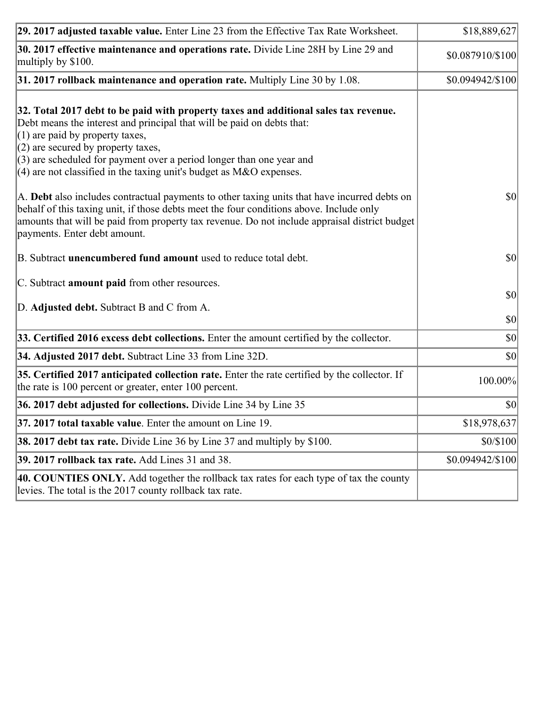| 29. 2017 adjusted taxable value. Enter Line 23 from the Effective Tax Rate Worksheet.                                                                                                                                                                                                                                                                                                          | \$18,889,627                 |
|------------------------------------------------------------------------------------------------------------------------------------------------------------------------------------------------------------------------------------------------------------------------------------------------------------------------------------------------------------------------------------------------|------------------------------|
| 30. 2017 effective maintenance and operations rate. Divide Line 28H by Line 29 and<br>multiply by \$100.                                                                                                                                                                                                                                                                                       | \$0.087910/\$100             |
| $31.2017$ rollback maintenance and operation rate. Multiply Line 30 by 1.08.                                                                                                                                                                                                                                                                                                                   | \$0.094942/\$100             |
| 32. Total 2017 debt to be paid with property taxes and additional sales tax revenue.<br>Debt means the interest and principal that will be paid on debts that:<br>$(1)$ are paid by property taxes,<br>$(2)$ are secured by property taxes,<br>$(3)$ are scheduled for payment over a period longer than one year and<br>$(4)$ are not classified in the taxing unit's budget as M&O expenses. |                              |
| A. Debt also includes contractual payments to other taxing units that have incurred debts on<br>behalf of this taxing unit, if those debts meet the four conditions above. Include only<br>amounts that will be paid from property tax revenue. Do not include appraisal district budget<br>payments. Enter debt amount.                                                                       | $ 10\rangle$                 |
| B. Subtract unencumbered fund amount used to reduce total debt.                                                                                                                                                                                                                                                                                                                                | \$0                          |
| C. Subtract amount paid from other resources.                                                                                                                                                                                                                                                                                                                                                  |                              |
| D. Adjusted debt. Subtract B and C from A.                                                                                                                                                                                                                                                                                                                                                     | $ 10\rangle$<br>$ 10\rangle$ |
| 33. Certified 2016 excess debt collections. Enter the amount certified by the collector.                                                                                                                                                                                                                                                                                                       | $ 10\rangle$                 |
| 34. Adjusted 2017 debt. Subtract Line 33 from Line 32D.                                                                                                                                                                                                                                                                                                                                        | \$0                          |
| 35. Certified 2017 anticipated collection rate. Enter the rate certified by the collector. If<br>the rate is 100 percent or greater, enter 100 percent.                                                                                                                                                                                                                                        | 100.00%                      |
| 36. 2017 debt adjusted for collections. Divide Line 34 by Line 35                                                                                                                                                                                                                                                                                                                              | $ 10\rangle$                 |
| 37. 2017 total taxable value. Enter the amount on Line 19.                                                                                                                                                                                                                                                                                                                                     | \$18,978,637                 |
| <b>38. 2017 debt tax rate.</b> Divide Line 36 by Line 37 and multiply by \$100.                                                                                                                                                                                                                                                                                                                | \$0/\$100                    |
| <b>39. 2017 rollback tax rate.</b> Add Lines 31 and 38.                                                                                                                                                                                                                                                                                                                                        | \$0.094942/\$100             |
| 40. COUNTIES ONLY. Add together the rollback tax rates for each type of tax the county<br>levies. The total is the 2017 county rollback tax rate.                                                                                                                                                                                                                                              |                              |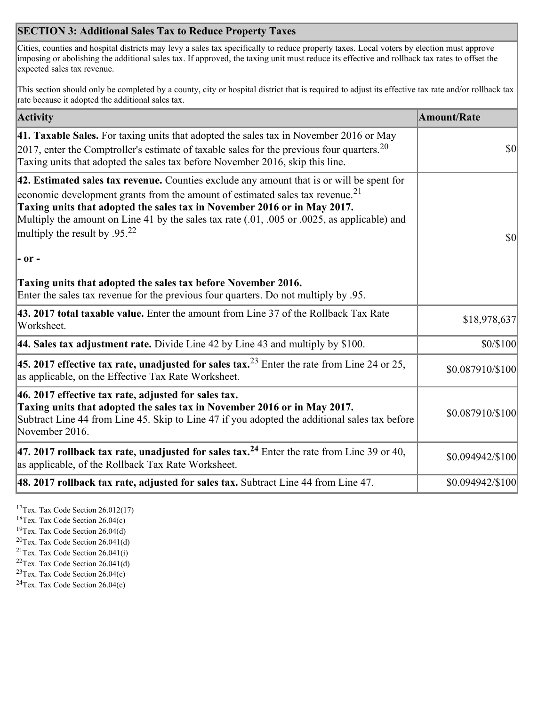## **SECTION 3: Additional Sales Tax to Reduce Property Taxes**

Cities, counties and hospital districts may levy a sales tax specifically to reduce property taxes. Local voters by election must approve imposing or abolishing the additional sales tax. If approved, the taxing unit must reduce its effective and rollback tax rates to offset the expected sales tax revenue.

This section should only be completed by a county, city or hospital district that is required to adjust its effective tax rate and/or rollback tax rate because it adopted the additional sales tax.

| <b>Activity</b>                                                                                                                                                                                                                                                                                                                                                                                                 | <b>Amount/Rate</b> |
|-----------------------------------------------------------------------------------------------------------------------------------------------------------------------------------------------------------------------------------------------------------------------------------------------------------------------------------------------------------------------------------------------------------------|--------------------|
| 41. Taxable Sales. For taxing units that adopted the sales tax in November 2016 or May<br>$[2017]$ , enter the Comptroller's estimate of taxable sales for the previous four quarters. <sup>20</sup><br>Taxing units that adopted the sales tax before November 2016, skip this line.                                                                                                                           | $\vert$ so $\vert$ |
| 42. Estimated sales tax revenue. Counties exclude any amount that is or will be spent for<br>economic development grants from the amount of estimated sales tax revenue. <sup>21</sup><br>Taxing units that adopted the sales tax in November 2016 or in May 2017.<br>Multiply the amount on Line 41 by the sales tax rate (.01, .005 or .0025, as applicable) and<br>multiply the result by .95. <sup>22</sup> | \$0                |
| - or -                                                                                                                                                                                                                                                                                                                                                                                                          |                    |
| Taxing units that adopted the sales tax before November 2016.<br>Enter the sales tax revenue for the previous four quarters. Do not multiply by .95.                                                                                                                                                                                                                                                            |                    |
| 43. 2017 total taxable value. Enter the amount from Line 37 of the Rollback Tax Rate<br>Worksheet.                                                                                                                                                                                                                                                                                                              | \$18,978,637       |
| 44. Sales tax adjustment rate. Divide Line 42 by Line 43 and multiply by $$100$ .                                                                                                                                                                                                                                                                                                                               | \$0/\$100          |
| 45. 2017 effective tax rate, unadjusted for sales tax. <sup>23</sup> Enter the rate from Line 24 or 25,<br>as applicable, on the Effective Tax Rate Worksheet.                                                                                                                                                                                                                                                  | \$0.087910/\$100   |
| 46. 2017 effective tax rate, adjusted for sales tax.<br>Taxing units that adopted the sales tax in November 2016 or in May 2017.<br>Subtract Line 44 from Line 45. Skip to Line 47 if you adopted the additional sales tax before<br>November 2016.                                                                                                                                                             | \$0.087910/\$100   |
| 47. 2017 rollback tax rate, unadjusted for sales tax. <sup>24</sup> Enter the rate from Line 39 or 40,<br>as applicable, of the Rollback Tax Rate Worksheet.                                                                                                                                                                                                                                                    | \$0.094942/\$100   |
| $ 48.2017$ rollback tax rate, adjusted for sales tax. Subtract Line 44 from Line 47.                                                                                                                                                                                                                                                                                                                            | \$0.094942/\$100   |

<sup>17</sup>Tex. Tax Code Section 26.012(17)

<sup>18</sup>Tex. Tax Code Section 26.04(c)

<sup>19</sup>Tex. Tax Code Section 26.04(d)

<sup>20</sup>Tex. Tax Code Section 26.041(d)

- $21$ Tex. Tax Code Section 26.041(i)
- <sup>22</sup>Tex. Tax Code Section 26.041(d)
- <sup>23</sup>Tex. Tax Code Section  $26.04(c)$

<sup>24</sup>Tex. Tax Code Section  $26.04(c)$